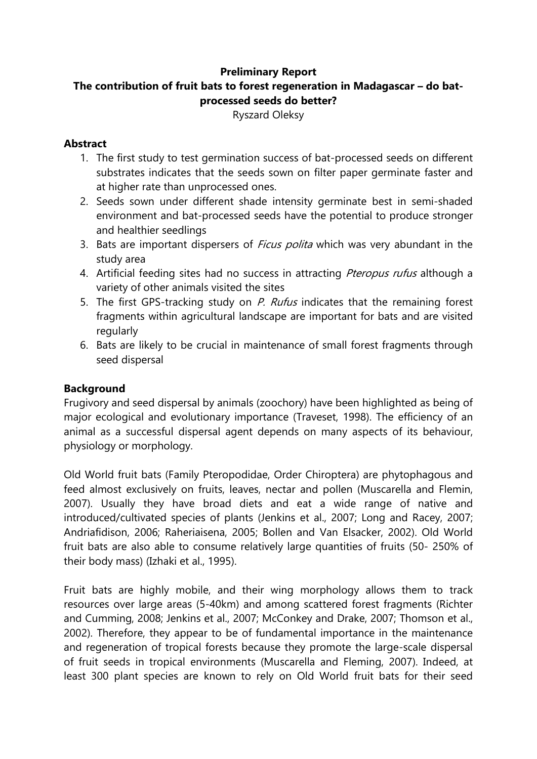## **Preliminary Report**

# **The contribution of fruit bats to forest regeneration in Madagascar – do batprocessed seeds do better?**

Ryszard Oleksy

### **Abstract**

- 1. The first study to test germination success of bat-processed seeds on different substrates indicates that the seeds sown on filter paper germinate faster and at higher rate than unprocessed ones.
- 2. Seeds sown under different shade intensity germinate best in semi-shaded environment and bat-processed seeds have the potential to produce stronger and healthier seedlings
- 3. Bats are important dispersers of *Ficus polita* which was very abundant in the study area
- 4. Artificial feeding sites had no success in attracting *Pteropus rufus* although a variety of other animals visited the sites
- 5. The first GPS-tracking study on P. Rufus indicates that the remaining forest fragments within agricultural landscape are important for bats and are visited regularly
- 6. Bats are likely to be crucial in maintenance of small forest fragments through seed dispersal

# **Background**

Frugivory and seed dispersal by animals (zoochory) have been highlighted as being of major ecological and evolutionary importance (Traveset, 1998). The efficiency of an animal as a successful dispersal agent depends on many aspects of its behaviour, physiology or morphology.

Old World fruit bats (Family Pteropodidae, Order Chiroptera) are phytophagous and feed almost exclusively on fruits, leaves, nectar and pollen (Muscarella and Flemin, 2007). Usually they have broad diets and eat a wide range of native and introduced/cultivated species of plants (Jenkins et al., 2007; Long and Racey, 2007; Andriafidison, 2006; Raheriaisena, 2005; Bollen and Van Elsacker, 2002). Old World fruit bats are also able to consume relatively large quantities of fruits (50- 250% of their body mass) (Izhaki et al., 1995).

Fruit bats are highly mobile, and their wing morphology allows them to track resources over large areas (5-40km) and among scattered forest fragments (Richter and Cumming, 2008; Jenkins et al., 2007; McConkey and Drake, 2007; Thomson et al., 2002). Therefore, they appear to be of fundamental importance in the maintenance and regeneration of tropical forests because they promote the large-scale dispersal of fruit seeds in tropical environments (Muscarella and Fleming, 2007). Indeed, at least 300 plant species are known to rely on Old World fruit bats for their seed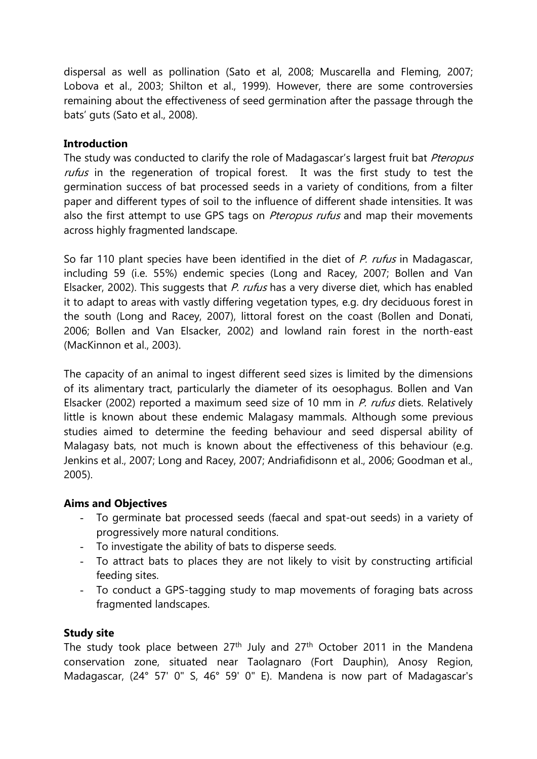dispersal as well as pollination (Sato et al, 2008; Muscarella and Fleming, 2007; Lobova et al., 2003; Shilton et al., 1999). However, there are some controversies remaining about the effectiveness of seed germination after the passage through the bats' guts (Sato et al., 2008).

#### **Introduction**

The study was conducted to clarify the role of Madagascar's largest fruit bat Pteropus rufus in the regeneration of tropical forest. It was the first study to test the germination success of bat processed seeds in a variety of conditions, from a filter paper and different types of soil to the influence of different shade intensities. It was also the first attempt to use GPS tags on *Pteropus rufus* and map their movements across highly fragmented landscape.

So far 110 plant species have been identified in the diet of P. rufus in Madagascar, including 59 (i.e. 55%) endemic species (Long and Racey, 2007; Bollen and Van Elsacker, 2002). This suggests that  $P.$  rufus has a very diverse diet, which has enabled it to adapt to areas with vastly differing vegetation types, e.g. dry deciduous forest in the south (Long and Racey, 2007), littoral forest on the coast (Bollen and Donati, 2006; Bollen and Van Elsacker, 2002) and lowland rain forest in the north-east (MacKinnon et al., 2003).

The capacity of an animal to ingest different seed sizes is limited by the dimensions of its alimentary tract, particularly the diameter of its oesophagus. Bollen and Van Elsacker (2002) reported a maximum seed size of 10 mm in P. rufus diets. Relatively little is known about these endemic Malagasy mammals. Although some previous studies aimed to determine the feeding behaviour and seed dispersal ability of Malagasy bats, not much is known about the effectiveness of this behaviour (e.g. Jenkins et al., 2007; Long and Racey, 2007; Andriafidisonn et al., 2006; Goodman et al., 2005).

#### **Aims and Objectives**

- To germinate bat processed seeds (faecal and spat-out seeds) in a variety of progressively more natural conditions.
- To investigate the ability of bats to disperse seeds.
- To attract bats to places they are not likely to visit by constructing artificial feeding sites.
- To conduct a GPS-tagging study to map movements of foraging bats across fragmented landscapes.

#### **Study site**

The study took place between  $27<sup>th</sup>$  July and  $27<sup>th</sup>$  October 2011 in the Mandena conservation zone, situated near Taolagnaro (Fort Dauphin), Anosy Region, Madagascar, (24° 57' 0" S, 46° 59' 0" E). Mandena is now part of Madagascar's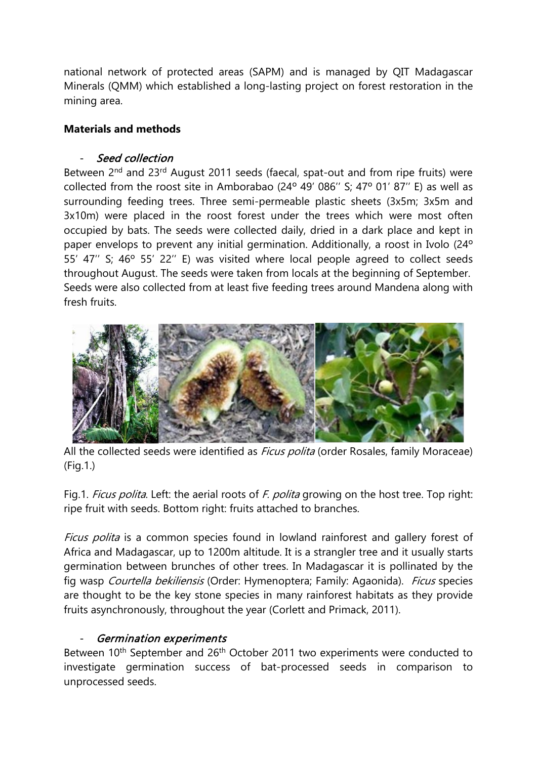national network of protected areas (SAPM) and is managed by QIT Madagascar Minerals (QMM) which established a long-lasting project on forest restoration in the mining area.

## **Materials and methods**

### Seed collection

Between 2<sup>nd</sup> and 23<sup>rd</sup> August 2011 seeds (faecal, spat-out and from ripe fruits) were collected from the roost site in Amborabao (24º 49' 086'' S; 47º 01' 87'' E) as well as surrounding feeding trees. Three semi-permeable plastic sheets (3x5m; 3x5m and 3x10m) were placed in the roost forest under the trees which were most often occupied by bats. The seeds were collected daily, dried in a dark place and kept in paper envelops to prevent any initial germination. Additionally, a roost in Ivolo (24º 55' 47'' S; 46º 55' 22'' E) was visited where local people agreed to collect seeds throughout August. The seeds were taken from locals at the beginning of September. Seeds were also collected from at least five feeding trees around Mandena along with fresh fruits.



All the collected seeds were identified as *Ficus polita* (order Rosales, family Moraceae) (Fig.1.)

Fig.1. Ficus polita. Left: the aerial roots of F. polita growing on the host tree. Top right: ripe fruit with seeds. Bottom right: fruits attached to branches.

Ficus polita is a common species found in lowland rainforest and gallery forest of Africa and Madagascar, up to 1200m altitude. It is a strangler tree and it usually starts germination between brunches of other trees. In Madagascar it is pollinated by the fig wasp Courtella bekiliensis (Order: Hymenoptera; Family: Agaonida). Ficus species are thought to be the key stone species in many rainforest habitats as they provide fruits asynchronously, throughout the year (Corlett and Primack, 2011).

# Germination experiments

Between 10<sup>th</sup> September and 26<sup>th</sup> October 2011 two experiments were conducted to investigate germination success of bat-processed seeds in comparison to unprocessed seeds.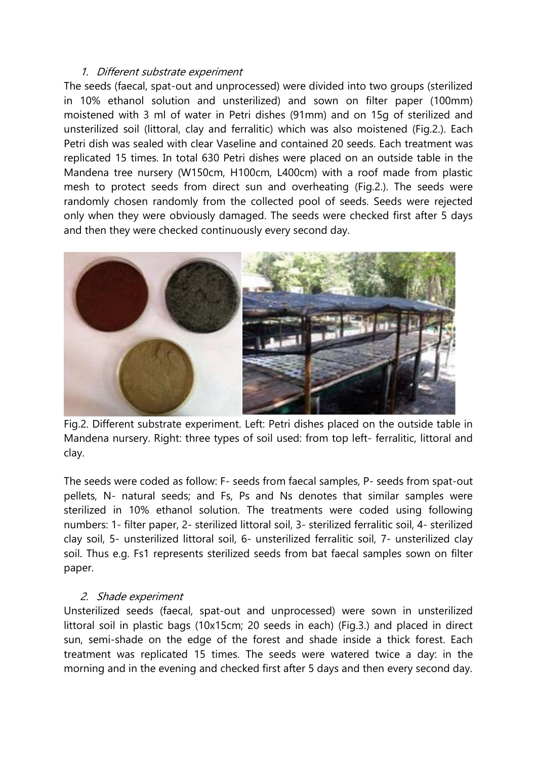#### 1. Different substrate experiment

The seeds (faecal, spat-out and unprocessed) were divided into two groups (sterilized in 10% ethanol solution and unsterilized) and sown on filter paper (100mm) moistened with 3 ml of water in Petri dishes (91mm) and on 15g of sterilized and unsterilized soil (littoral, clay and ferralitic) which was also moistened (Fig.2.). Each Petri dish was sealed with clear Vaseline and contained 20 seeds. Each treatment was replicated 15 times. In total 630 Petri dishes were placed on an outside table in the Mandena tree nursery (W150cm, H100cm, L400cm) with a roof made from plastic mesh to protect seeds from direct sun and overheating (Fig.2.). The seeds were randomly chosen randomly from the collected pool of seeds. Seeds were rejected only when they were obviously damaged. The seeds were checked first after 5 days and then they were checked continuously every second day.



Fig.2. Different substrate experiment. Left: Petri dishes placed on the outside table in Mandena nursery. Right: three types of soil used: from top left- ferralitic, littoral and clay.

The seeds were coded as follow: F- seeds from faecal samples, P- seeds from spat-out pellets, N- natural seeds; and Fs, Ps and Ns denotes that similar samples were sterilized in 10% ethanol solution. The treatments were coded using following numbers: 1- filter paper, 2- sterilized littoral soil, 3- sterilized ferralitic soil, 4- sterilized clay soil, 5- unsterilized littoral soil, 6- unsterilized ferralitic soil, 7- unsterilized clay soil. Thus e.g. Fs1 represents sterilized seeds from bat faecal samples sown on filter paper.

#### 2. Shade experiment

Unsterilized seeds (faecal, spat-out and unprocessed) were sown in unsterilized littoral soil in plastic bags (10x15cm; 20 seeds in each) (Fig.3.) and placed in direct sun, semi-shade on the edge of the forest and shade inside a thick forest. Each treatment was replicated 15 times. The seeds were watered twice a day: in the morning and in the evening and checked first after 5 days and then every second day.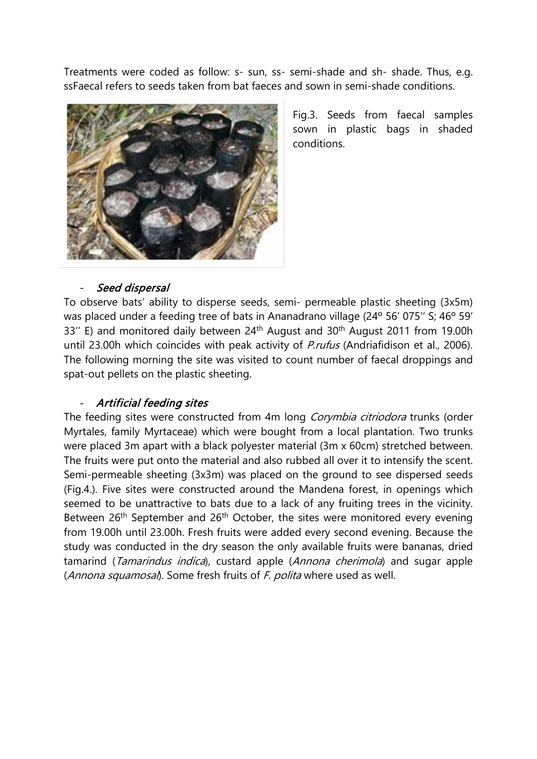Treatments were coded as follow: s- sun, ss- semi-shade and sh- shade. Thus, e.g. ssFaecal refers to seeds taken from bat faeces and sown in semi-shade conditions.



Fig.3. Seeds from faecal samples sown in plastic bags in shaded conditions.

#### Seed dispersal

To observe bats' ability to disperse seeds, semi- permeable plastic sheeting (3x5m) was placed under a feeding tree of bats in Ananadrano village (24º 56' 075'' S; 46º 59' 33" E) and monitored daily between 24<sup>th</sup> August and 30<sup>th</sup> August 2011 from 19.00h until 23.00h which coincides with peak activity of *P.rufus* (Andriafidison et al., 2006). The following morning the site was visited to count number of faecal droppings and spat-out pellets on the plastic sheeting.

# Artificial feeding sites

The feeding sites were constructed from 4m long Corymbia citriodora trunks (order Myrtales, family Myrtaceae) which were bought from a local plantation. Two trunks were placed 3m apart with a black polyester material (3m x 60cm) stretched between. The fruits were put onto the material and also rubbed all over it to intensify the scent. Semi-permeable sheeting (3x3m) was placed on the ground to see dispersed seeds (Fig.4.). Five sites were constructed around the Mandena forest, in openings which seemed to be unattractive to bats due to a lack of any fruiting trees in the vicinity. Between 26<sup>th</sup> September and 26<sup>th</sup> October, the sites were monitored every evening from 19.00h until 23.00h. Fresh fruits were added every second evening. Because the study was conducted in the dry season the only available fruits were bananas, dried tamarind (Tamarindus indica), custard apple (Annona cherimola) and sugar apple (Annona squamosal). Some fresh fruits of F. polita where used as well.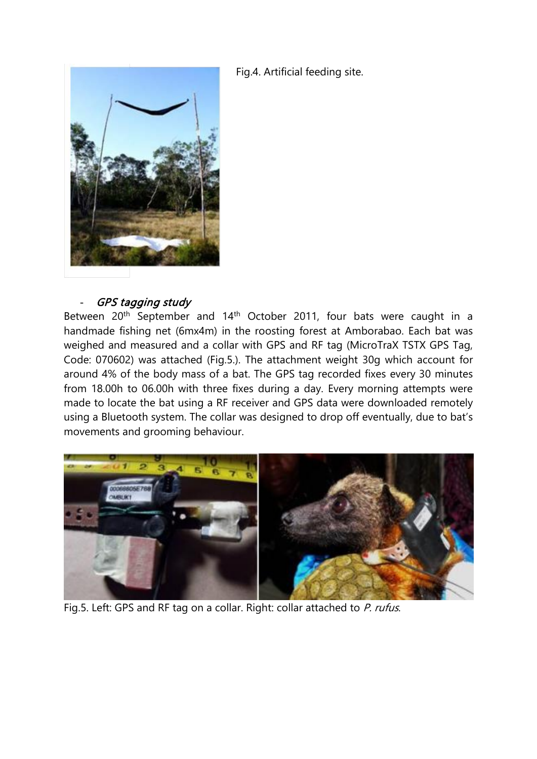Fig.4. Artificial feeding site.



#### - GPS tagging study

Between 20<sup>th</sup> September and 14<sup>th</sup> October 2011, four bats were caught in a handmade fishing net (6mx4m) in the roosting forest at Amborabao. Each bat was weighed and measured and a collar with GPS and RF tag (MicroTraX TSTX GPS Tag, Code: 070602) was attached (Fig.5.). The attachment weight 30g which account for around 4% of the body mass of a bat. The GPS tag recorded fixes every 30 minutes from 18.00h to 06.00h with three fixes during a day. Every morning attempts were made to locate the bat using a RF receiver and GPS data were downloaded remotely using a Bluetooth system. The collar was designed to drop off eventually, due to bat's movements and grooming behaviour.



Fig.5. Left: GPS and RF tag on a collar. Right: collar attached to P. rufus.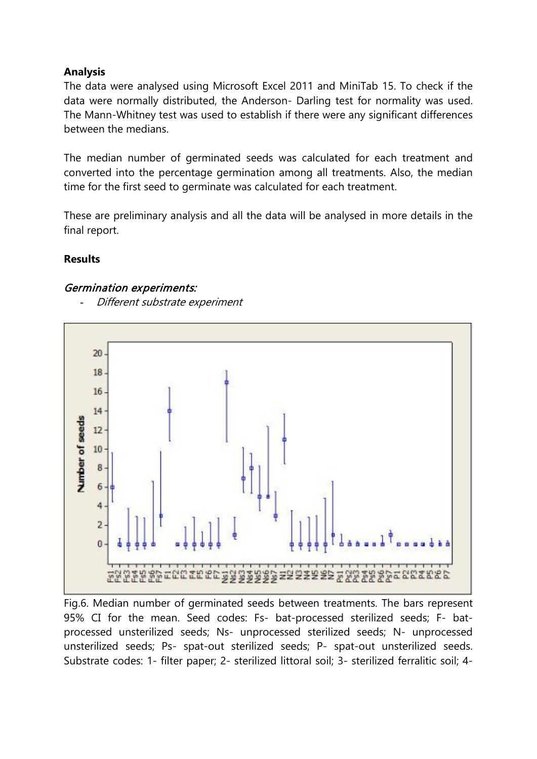## **Analysis**

The data were analysed using Microsoft Excel 2011 and MiniTab 15. To check if the data were normally distributed, the Anderson- Darling test for normality was used. The Mann-Whitney test was used to establish if there were any significant differences between the medians.

The median number of germinated seeds was calculated for each treatment and converted into the percentage germination among all treatments. Also, the median time for the first seed to germinate was calculated for each treatment.

These are preliminary analysis and all the data will be analysed in more details in the final report.

## **Results**

#### Germination experiments:

Different substrate experiment



Fig.6. Median number of germinated seeds between treatments. The bars represent 95% CI for the mean. Seed codes: Fs- bat-processed sterilized seeds; F- batprocessed unsterilized seeds; Ns- unprocessed sterilized seeds; N- unprocessed unsterilized seeds; Ps- spat-out sterilized seeds; P- spat-out unsterilized seeds. Substrate codes: 1- filter paper; 2- sterilized littoral soil; 3- sterilized ferralitic soil; 4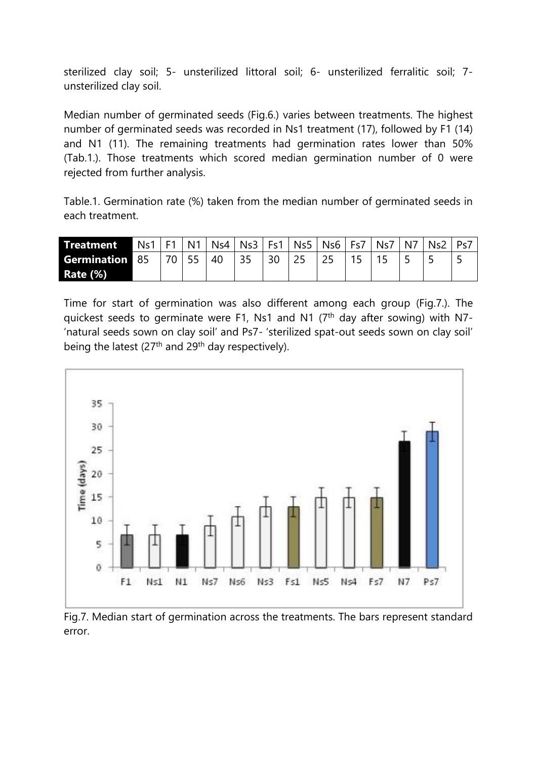sterilized clay soil; 5- unsterilized littoral soil; 6- unsterilized ferralitic soil; 7 unsterilized clay soil.

Median number of germinated seeds (Fig.6.) varies between treatments. The highest number of germinated seeds was recorded in Ns1 treatment (17), followed by F1 (14) and N1 (11). The remaining treatments had germination rates lower than 50% (Tab.1.). Those treatments which scored median germination number of 0 were rejected from further analysis.

Table.1. Germination rate (%) taken from the median number of germinated seeds in each treatment.

| Treatment             | $Ns1$   F1 |    | N <sub>1</sub> |    | $Ns4$   Ns3 | F <sub>c1</sub> | Ns5   Ns6   Fs7 | N <sub>5</sub> | N7 | Ns∠ |  |
|-----------------------|------------|----|----------------|----|-------------|-----------------|-----------------|----------------|----|-----|--|
| <b>Germination 85</b> |            | 70 |                | 40 |             | 30              |                 |                |    | ـ   |  |
| <b>Rate (%)</b>       |            |    |                |    |             |                 |                 |                |    |     |  |

Time for start of germination was also different among each group (Fig.7.). The quickest seeds to germinate were F1, Ns1 and N1  $(7<sup>th</sup>$  day after sowing) with N7-'natural seeds sown on clay soil' and Ps7- 'sterilized spat-out seeds sown on clay soil' being the latest  $(27<sup>th</sup>$  and  $29<sup>th</sup>$  day respectively).



Fig.7. Median start of germination across the treatments. The bars represent standard error.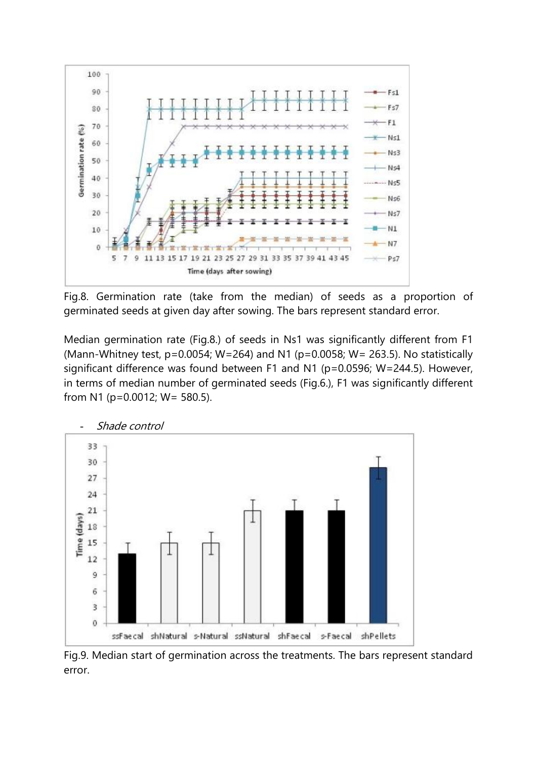

Fig.8. Germination rate (take from the median) of seeds as a proportion of germinated seeds at given day after sowing. The bars represent standard error.

Median germination rate (Fig.8.) of seeds in Ns1 was significantly different from F1 (Mann-Whitney test,  $p=0.0054$ ; W=264) and N1 ( $p=0.0058$ ; W= 263.5). No statistically significant difference was found between F1 and N1 (p=0.0596; W=244.5). However, in terms of median number of germinated seeds (Fig.6.), F1 was significantly different from N1 (p=0.0012; W= 580.5).



Fig.9. Median start of germination across the treatments. The bars represent standard error.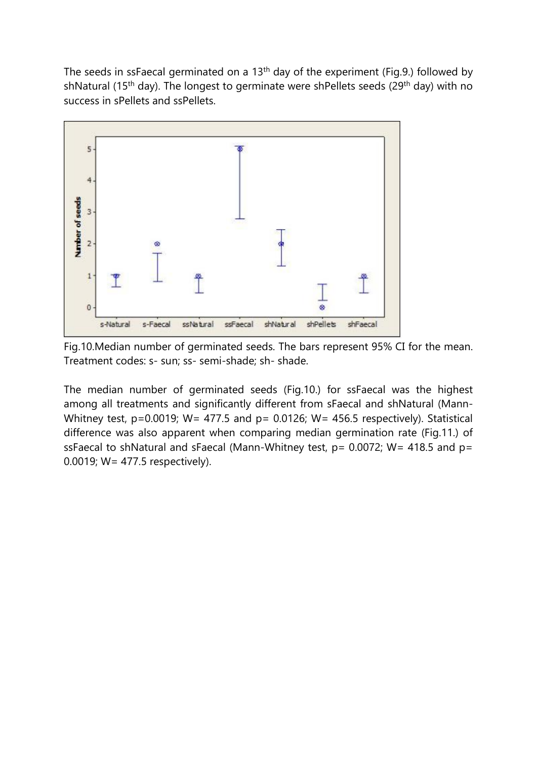The seeds in ssFaecal germinated on a 13th day of the experiment (Fig.9.) followed by shNatural (15<sup>th</sup> day). The longest to germinate were shPellets seeds (29<sup>th</sup> day) with no success in sPellets and ssPellets.



Fig.10.Median number of germinated seeds. The bars represent 95% CI for the mean. Treatment codes: s- sun; ss- semi-shade; sh- shade.

The median number of germinated seeds (Fig.10.) for ssFaecal was the highest among all treatments and significantly different from sFaecal and shNatural (Mann-Whitney test, p=0.0019; W= 477.5 and p= 0.0126; W= 456.5 respectively). Statistical difference was also apparent when comparing median germination rate (Fig.11.) of ssFaecal to shNatural and sFaecal (Mann-Whitney test,  $p= 0.0072$ ; W= 418.5 and  $p=$ 0.0019; W= 477.5 respectively).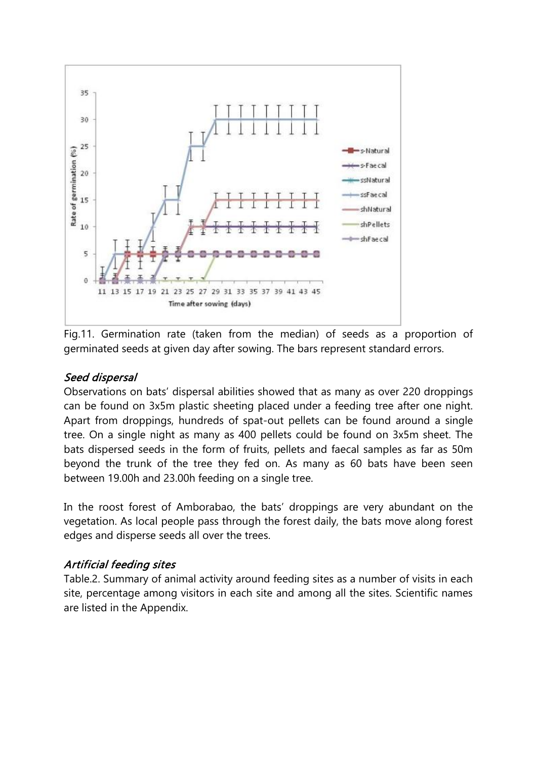

Fig.11. Germination rate (taken from the median) of seeds as a proportion of germinated seeds at given day after sowing. The bars represent standard errors.

## Seed dispersal

Observations on bats' dispersal abilities showed that as many as over 220 droppings can be found on 3x5m plastic sheeting placed under a feeding tree after one night. Apart from droppings, hundreds of spat-out pellets can be found around a single tree. On a single night as many as 400 pellets could be found on 3x5m sheet. The bats dispersed seeds in the form of fruits, pellets and faecal samples as far as 50m beyond the trunk of the tree they fed on. As many as 60 bats have been seen between 19.00h and 23.00h feeding on a single tree.

In the roost forest of Amborabao, the bats' droppings are very abundant on the vegetation. As local people pass through the forest daily, the bats move along forest edges and disperse seeds all over the trees.

#### Artificial feeding sites

Table.2. Summary of animal activity around feeding sites as a number of visits in each site, percentage among visitors in each site and among all the sites. Scientific names are listed in the Appendix.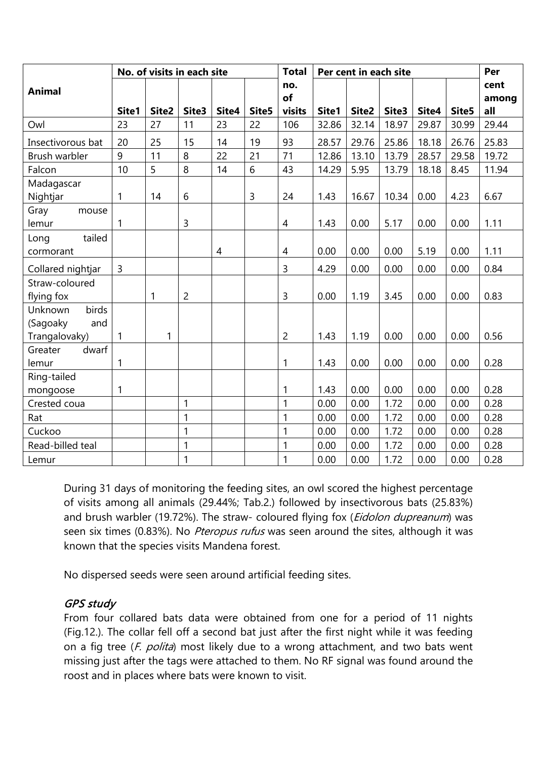| No. of visits in each site |              |       |              |                |       | <b>Total</b>   | Per cent in each site | Per   |       |       |       |       |
|----------------------------|--------------|-------|--------------|----------------|-------|----------------|-----------------------|-------|-------|-------|-------|-------|
| <b>Animal</b>              |              |       |              |                |       | no.            |                       |       |       |       |       | cent  |
|                            |              |       |              |                |       | of             |                       |       |       |       |       | among |
|                            | Site1        | Site2 | Site3        | Site4          | Site5 | visits         | Site1                 | Site2 | Site3 | Site4 | Site5 | all   |
| Owl                        | 23           | 27    | 11           | 23             | 22    | 106            | 32.86                 | 32.14 | 18.97 | 29.87 | 30.99 | 29.44 |
| Insectivorous bat          | 20           | 25    | 15           | 14             | 19    | 93             | 28.57                 | 29.76 | 25.86 | 18.18 | 26.76 | 25.83 |
| Brush warbler              | 9            | 11    | 8            | 22             | 21    | 71             | 12.86                 | 13.10 | 13.79 | 28.57 | 29.58 | 19.72 |
| Falcon                     | 10           | 5     | 8            | 14             | 6     | 43             | 14.29                 | 5.95  | 13.79 | 18.18 | 8.45  | 11.94 |
| Madagascar                 |              |       |              |                |       |                |                       |       |       |       |       |       |
| Nightjar                   | $\mathbf{1}$ | 14    | 6            |                | 3     | 24             | 1.43                  | 16.67 | 10.34 | 0.00  | 4.23  | 6.67  |
| Gray<br>mouse              |              |       |              |                |       |                |                       |       |       |       |       |       |
| lemur                      | $\mathbf{1}$ |       | 3            |                |       | $\overline{4}$ | 1.43                  | 0.00  | 5.17  | 0.00  | 0.00  | 1.11  |
| tailed<br>Long             |              |       |              |                |       |                |                       |       |       |       |       |       |
| cormorant                  |              |       |              | $\overline{4}$ |       | $\overline{4}$ | 0.00                  | 0.00  | 0.00  | 5.19  | 0.00  | 1.11  |
| Collared nightjar          | 3            |       |              |                |       | 3              | 4.29                  | 0.00  | 0.00  | 0.00  | 0.00  | 0.84  |
| Straw-coloured             |              |       |              |                |       |                |                       |       |       |       |       |       |
| flying fox                 |              | 1     | 2            |                |       | $\overline{3}$ | 0.00                  | 1.19  | 3.45  | 0.00  | 0.00  | 0.83  |
| birds<br>Unknown           |              |       |              |                |       |                |                       |       |       |       |       |       |
| (Sagoaky<br>and            |              |       |              |                |       |                |                       |       |       |       |       |       |
| Trangalovaky)              | $\mathbf{1}$ | 1     |              |                |       | $\overline{2}$ | 1.43                  | 1.19  | 0.00  | 0.00  | 0.00  | 0.56  |
| Greater<br>dwarf           |              |       |              |                |       |                |                       |       |       |       |       |       |
| lemur                      | $\mathbf{1}$ |       |              |                |       | 1              | 1.43                  | 0.00  | 0.00  | 0.00  | 0.00  | 0.28  |
| Ring-tailed                |              |       |              |                |       |                |                       |       |       |       |       |       |
| mongoose                   | 1            |       |              |                |       | 1              | 1.43                  | 0.00  | 0.00  | 0.00  | 0.00  | 0.28  |
| Crested coua               |              |       | 1            |                |       | 1              | 0.00                  | 0.00  | 1.72  | 0.00  | 0.00  | 0.28  |
| Rat                        |              |       | 1            |                |       | 1              | 0.00                  | 0.00  | 1.72  | 0.00  | 0.00  | 0.28  |
| Cuckoo                     |              |       | $\mathbf{1}$ |                |       | $\mathbf{1}$   | 0.00                  | 0.00  | 1.72  | 0.00  | 0.00  | 0.28  |
| Read-billed teal           |              |       | 1            |                |       | 1              | 0.00                  | 0.00  | 1.72  | 0.00  | 0.00  | 0.28  |
| Lemur                      |              |       | $\mathbf{1}$ |                |       | 1              | 0.00                  | 0.00  | 1.72  | 0.00  | 0.00  | 0.28  |

During 31 days of monitoring the feeding sites, an owl scored the highest percentage of visits among all animals (29.44%; Tab.2.) followed by insectivorous bats (25.83%) and brush warbler (19.72%). The straw- coloured flying fox (*Eidolon dupreanum*) was seen six times (0.83%). No *Pteropus rufus* was seen around the sites, although it was known that the species visits Mandena forest.

No dispersed seeds were seen around artificial feeding sites.

# GPS study

From four collared bats data were obtained from one for a period of 11 nights (Fig.12.). The collar fell off a second bat just after the first night while it was feeding on a fig tree (*F. polita*) most likely due to a wrong attachment, and two bats went missing just after the tags were attached to them. No RF signal was found around the roost and in places where bats were known to visit.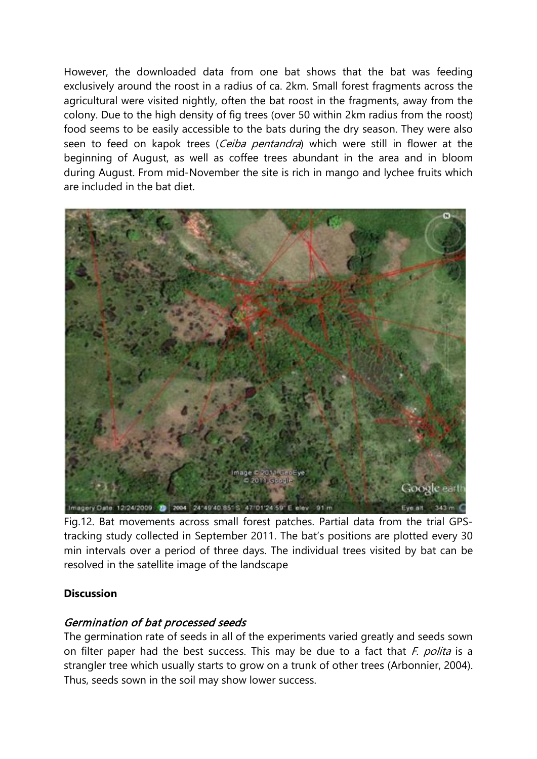However, the downloaded data from one bat shows that the bat was feeding exclusively around the roost in a radius of ca. 2km. Small forest fragments across the agricultural were visited nightly, often the bat roost in the fragments, away from the colony. Due to the high density of fig trees (over 50 within 2km radius from the roost) food seems to be easily accessible to the bats during the dry season. They were also seen to feed on kapok trees (Ceiba pentandra) which were still in flower at the beginning of August, as well as coffee trees abundant in the area and in bloom during August. From mid-November the site is rich in mango and lychee fruits which are included in the bat diet.



Fig.12. Bat movements across small forest patches. Partial data from the trial GPStracking study collected in September 2011. The bat's positions are plotted every 30 min intervals over a period of three days. The individual trees visited by bat can be resolved in the satellite image of the landscape

#### **Discussion**

# Germination of bat processed seeds

The germination rate of seeds in all of the experiments varied greatly and seeds sown on filter paper had the best success. This may be due to a fact that  $F$ . polita is a strangler tree which usually starts to grow on a trunk of other trees (Arbonnier, 2004). Thus, seeds sown in the soil may show lower success.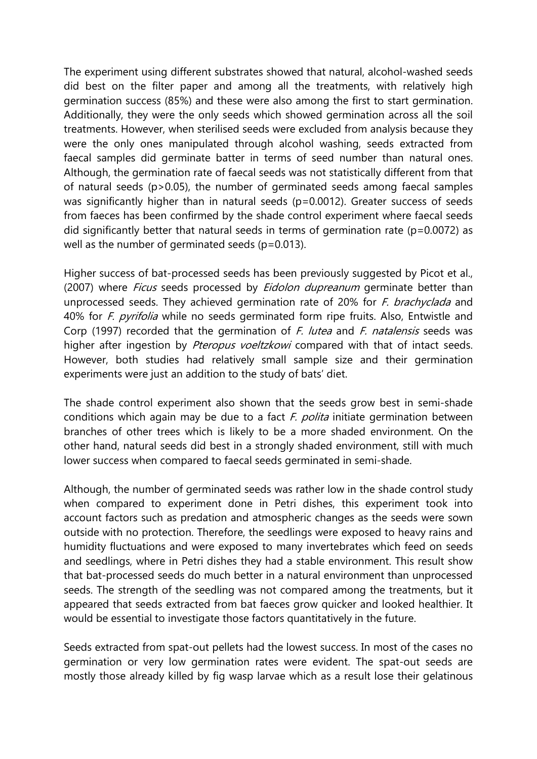The experiment using different substrates showed that natural, alcohol-washed seeds did best on the filter paper and among all the treatments, with relatively high germination success (85%) and these were also among the first to start germination. Additionally, they were the only seeds which showed germination across all the soil treatments. However, when sterilised seeds were excluded from analysis because they were the only ones manipulated through alcohol washing, seeds extracted from faecal samples did germinate batter in terms of seed number than natural ones. Although, the germination rate of faecal seeds was not statistically different from that of natural seeds (p>0.05), the number of germinated seeds among faecal samples was significantly higher than in natural seeds (p=0.0012). Greater success of seeds from faeces has been confirmed by the shade control experiment where faecal seeds did significantly better that natural seeds in terms of germination rate ( $p=0.0072$ ) as well as the number of germinated seeds (p=0.013).

Higher success of bat-processed seeds has been previously suggested by Picot et al., (2007) where *Ficus* seeds processed by *Eidolon dupreanum* germinate better than unprocessed seeds. They achieved germination rate of 20% for *F. brachyclada* and 40% for *F. pyrifolia* while no seeds germinated form ripe fruits. Also, Entwistle and Corp (1997) recorded that the germination of *F. lutea* and *F. natalensis* seeds was higher after ingestion by Pteropus voeltzkowi compared with that of intact seeds. However, both studies had relatively small sample size and their germination experiments were just an addition to the study of bats' diet.

The shade control experiment also shown that the seeds grow best in semi-shade conditions which again may be due to a fact  $F$ . polita initiate germination between branches of other trees which is likely to be a more shaded environment. On the other hand, natural seeds did best in a strongly shaded environment, still with much lower success when compared to faecal seeds germinated in semi-shade.

Although, the number of germinated seeds was rather low in the shade control study when compared to experiment done in Petri dishes, this experiment took into account factors such as predation and atmospheric changes as the seeds were sown outside with no protection. Therefore, the seedlings were exposed to heavy rains and humidity fluctuations and were exposed to many invertebrates which feed on seeds and seedlings, where in Petri dishes they had a stable environment. This result show that bat-processed seeds do much better in a natural environment than unprocessed seeds. The strength of the seedling was not compared among the treatments, but it appeared that seeds extracted from bat faeces grow quicker and looked healthier. It would be essential to investigate those factors quantitatively in the future.

Seeds extracted from spat-out pellets had the lowest success. In most of the cases no germination or very low germination rates were evident. The spat-out seeds are mostly those already killed by fig wasp larvae which as a result lose their gelatinous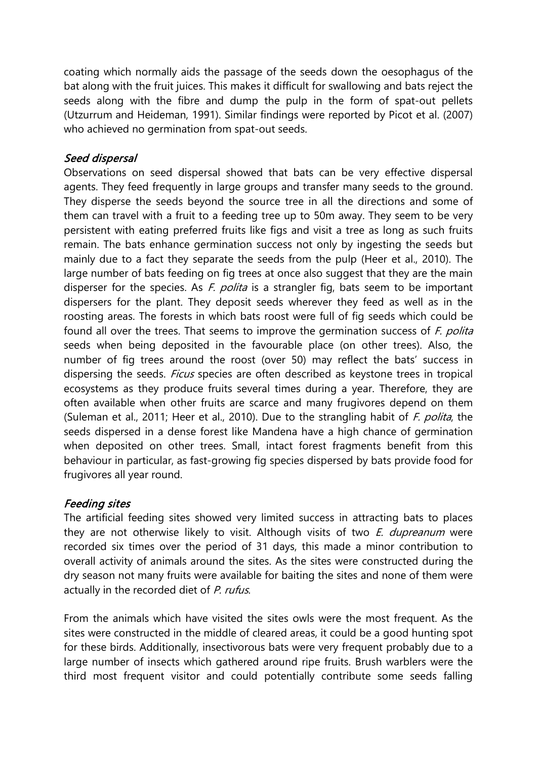coating which normally aids the passage of the seeds down the oesophagus of the bat along with the fruit juices. This makes it difficult for swallowing and bats reject the seeds along with the fibre and dump the pulp in the form of spat-out pellets (Utzurrum and Heideman, 1991). Similar findings were reported by Picot et al. (2007) who achieved no germination from spat-out seeds.

# Seed dispersal

Observations on seed dispersal showed that bats can be very effective dispersal agents. They feed frequently in large groups and transfer many seeds to the ground. They disperse the seeds beyond the source tree in all the directions and some of them can travel with a fruit to a feeding tree up to 50m away. They seem to be very persistent with eating preferred fruits like figs and visit a tree as long as such fruits remain. The bats enhance germination success not only by ingesting the seeds but mainly due to a fact they separate the seeds from the pulp (Heer et al., 2010). The large number of bats feeding on fig trees at once also suggest that they are the main disperser for the species. As  $F$ . polita is a strangler fig, bats seem to be important dispersers for the plant. They deposit seeds wherever they feed as well as in the roosting areas. The forests in which bats roost were full of fig seeds which could be found all over the trees. That seems to improve the germination success of  $F$ . polita seeds when being deposited in the favourable place (on other trees). Also, the number of fig trees around the roost (over 50) may reflect the bats' success in dispersing the seeds. *Ficus* species are often described as keystone trees in tropical ecosystems as they produce fruits several times during a year. Therefore, they are often available when other fruits are scarce and many frugivores depend on them (Suleman et al., 2011; Heer et al., 2010). Due to the strangling habit of F. polita, the seeds dispersed in a dense forest like Mandena have a high chance of germination when deposited on other trees. Small, intact forest fragments benefit from this behaviour in particular, as fast-growing fig species dispersed by bats provide food for frugivores all year round.

# Feeding sites

The artificial feeding sites showed very limited success in attracting bats to places they are not otherwise likely to visit. Although visits of two  $E$ . *dupreanum* were recorded six times over the period of 31 days, this made a minor contribution to overall activity of animals around the sites. As the sites were constructed during the dry season not many fruits were available for baiting the sites and none of them were actually in the recorded diet of P. rufus.

From the animals which have visited the sites owls were the most frequent. As the sites were constructed in the middle of cleared areas, it could be a good hunting spot for these birds. Additionally, insectivorous bats were very frequent probably due to a large number of insects which gathered around ripe fruits. Brush warblers were the third most frequent visitor and could potentially contribute some seeds falling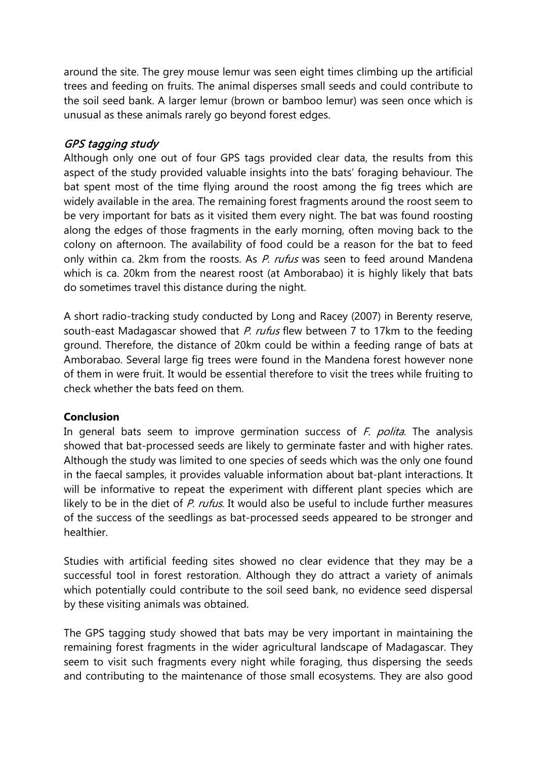around the site. The grey mouse lemur was seen eight times climbing up the artificial trees and feeding on fruits. The animal disperses small seeds and could contribute to the soil seed bank. A larger lemur (brown or bamboo lemur) was seen once which is unusual as these animals rarely go beyond forest edges.

# GPS tagging study

Although only one out of four GPS tags provided clear data, the results from this aspect of the study provided valuable insights into the bats' foraging behaviour. The bat spent most of the time flying around the roost among the fig trees which are widely available in the area. The remaining forest fragments around the roost seem to be very important for bats as it visited them every night. The bat was found roosting along the edges of those fragments in the early morning, often moving back to the colony on afternoon. The availability of food could be a reason for the bat to feed only within ca. 2km from the roosts. As P. rufus was seen to feed around Mandena which is ca. 20km from the nearest roost (at Amborabao) it is highly likely that bats do sometimes travel this distance during the night.

A short radio-tracking study conducted by Long and Racey (2007) in Berenty reserve, south-east Madagascar showed that P. rufus flew between 7 to 17km to the feeding ground. Therefore, the distance of 20km could be within a feeding range of bats at Amborabao. Several large fig trees were found in the Mandena forest however none of them in were fruit. It would be essential therefore to visit the trees while fruiting to check whether the bats feed on them.

#### **Conclusion**

In general bats seem to improve germination success of  $F$ . polita. The analysis showed that bat-processed seeds are likely to germinate faster and with higher rates. Although the study was limited to one species of seeds which was the only one found in the faecal samples, it provides valuable information about bat-plant interactions. It will be informative to repeat the experiment with different plant species which are likely to be in the diet of P. rufus. It would also be useful to include further measures of the success of the seedlings as bat-processed seeds appeared to be stronger and healthier.

Studies with artificial feeding sites showed no clear evidence that they may be a successful tool in forest restoration. Although they do attract a variety of animals which potentially could contribute to the soil seed bank, no evidence seed dispersal by these visiting animals was obtained.

The GPS tagging study showed that bats may be very important in maintaining the remaining forest fragments in the wider agricultural landscape of Madagascar. They seem to visit such fragments every night while foraging, thus dispersing the seeds and contributing to the maintenance of those small ecosystems. They are also good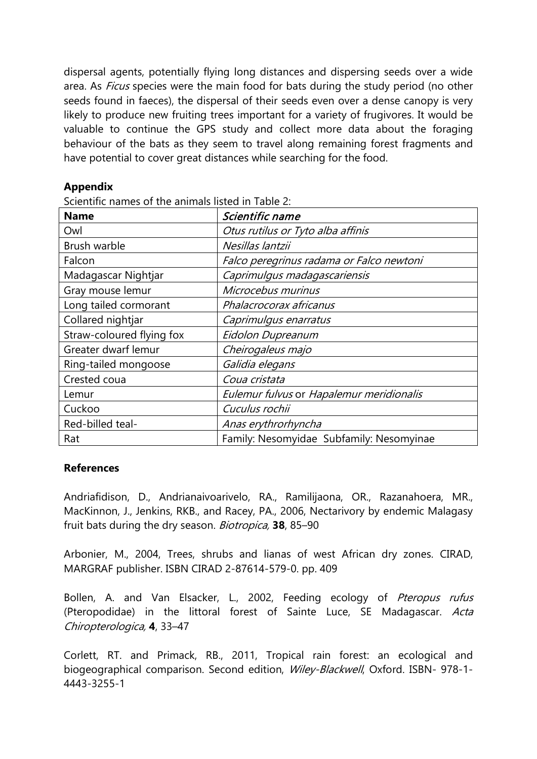dispersal agents, potentially flying long distances and dispersing seeds over a wide area. As *Ficus* species were the main food for bats during the study period (no other seeds found in faeces), the dispersal of their seeds even over a dense canopy is very likely to produce new fruiting trees important for a variety of frugivores. It would be valuable to continue the GPS study and collect more data about the foraging behaviour of the bats as they seem to travel along remaining forest fragments and have potential to cover great distances while searching for the food.

#### **Appendix**

Scientific names of the animals listed in Table 2:

| <b>Name</b>               | Scientific name                          |  |  |  |  |  |  |  |
|---------------------------|------------------------------------------|--|--|--|--|--|--|--|
| Owl                       | Otus rutilus or Tyto alba affinis        |  |  |  |  |  |  |  |
| Brush warble              | Nesillas lantzii                         |  |  |  |  |  |  |  |
| Falcon                    | Falco peregrinus radama or Falco newtoni |  |  |  |  |  |  |  |
| Madagascar Nightjar       | Caprimulgus madagascariensis             |  |  |  |  |  |  |  |
| Gray mouse lemur          | Microcebus murinus                       |  |  |  |  |  |  |  |
| Long tailed cormorant     | Phalacrocorax africanus                  |  |  |  |  |  |  |  |
| Collared nightjar         | Caprimulgus enarratus                    |  |  |  |  |  |  |  |
| Straw-coloured flying fox | Eidolon Dupreanum                        |  |  |  |  |  |  |  |
| Greater dwarf lemur       | Cheirogaleus majo                        |  |  |  |  |  |  |  |
| Ring-tailed mongoose      | Galidia elegans                          |  |  |  |  |  |  |  |
| Crested coua              | Coua cristata                            |  |  |  |  |  |  |  |
| Lemur                     | Eulemur fulvus or Hapalemur meridionalis |  |  |  |  |  |  |  |
| Cuckoo                    | Cuculus rochii                           |  |  |  |  |  |  |  |
| Red-billed teal-          | Anas erythrorhyncha                      |  |  |  |  |  |  |  |
| Rat                       | Family: Nesomyidae Subfamily: Nesomyinae |  |  |  |  |  |  |  |

#### **References**

Andriafidison, D., Andrianaivoarivelo, RA., Ramilijaona, OR., Razanahoera, MR., MacKinnon, J., Jenkins, RKB., and Racey, PA., 2006, Nectarivory by endemic Malagasy fruit bats during the dry season. Biotropica, **38**, 85–90

Arbonier, M., 2004, Trees, shrubs and lianas of west African dry zones. CIRAD, MARGRAF publisher. ISBN CIRAD 2-87614-579-0. pp. 409

Bollen, A. and Van Elsacker, L., 2002, Feeding ecology of Pteropus rufus (Pteropodidae) in the littoral forest of Sainte Luce, SE Madagascar. Acta Chiropterologica, **4**, 33–47

Corlett, RT. and Primack, RB., 2011, Tropical rain forest: an ecological and biogeographical comparison. Second edition, Wiley-Blackwell, Oxford. ISBN- 978-1-4443-3255-1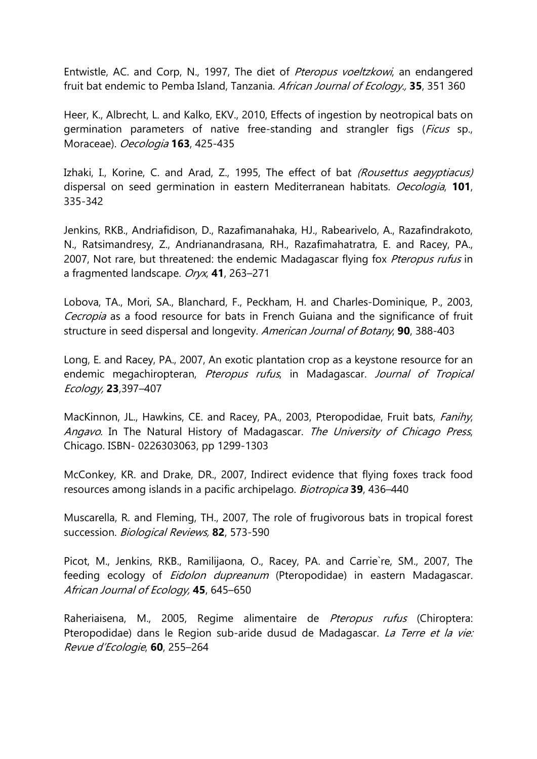Entwistle, AC. and Corp, N., 1997, The diet of Pteropus voeltzkowi, an endangered fruit bat endemic to Pemba Island, Tanzania. African Journal of Ecology., **35**, 351 360

Heer, K., Albrecht, L. and Kalko, EKV., 2010, Effects of ingestion by neotropical bats on germination parameters of native free-standing and strangler figs (*Ficus* sp., Moraceae). Oecologia **163**, 425-435

Izhaki, I., Korine, C. and Arad, Z., 1995, The effect of bat (Rousettus aegyptiacus) dispersal on seed germination in eastern Mediterranean habitats. Oecologia, **101**, 335-342

Jenkins, RKB., Andriafidison, D., Razafimanahaka, HJ., Rabearivelo, A., Razafindrakoto, N., Ratsimandresy, Z., Andrianandrasana, RH., Razafimahatratra, E. and Racey, PA., 2007, Not rare, but threatened: the endemic Madagascar flying fox Pteropus rufus in a fragmented landscape. Oryx, **41**, 263–271

Lobova, TA., Mori, SA., Blanchard, F., Peckham, H. and Charles-Dominique, P., 2003, Cecropia as a food resource for bats in French Guiana and the significance of fruit structure in seed dispersal and longevity. American Journal of Botany, **90**, 388-403

Long, E. and Racey, PA., 2007, An exotic plantation crop as a keystone resource for an endemic megachiropteran, Pteropus rufus, in Madagascar. Journal of Tropical Ecology, **23**,397–407

MacKinnon, JL., Hawkins, CE. and Racey, PA., 2003, Pteropodidae, Fruit bats, Fanihy, Angavo. In The Natural History of Madagascar. The University of Chicago Press, Chicago. ISBN- 0226303063, pp 1299-1303

McConkey, KR. and Drake, DR., 2007, Indirect evidence that flying foxes track food resources among islands in a pacific archipelago. Biotropica **39**, 436–440

Muscarella, R. and Fleming, TH., 2007, The role of frugivorous bats in tropical forest succession. Biological Reviews, **82**, 573-590

Picot, M., Jenkins, RKB., Ramilijaona, O., Racey, PA. and Carrie`re, SM., 2007, The feeding ecology of *Eidolon dupreanum* (Pteropodidae) in eastern Madagascar. African Journal of Ecology, **45**, 645–650

Raheriaisena, M., 2005, Regime alimentaire de Pteropus rufus (Chiroptera: Pteropodidae) dans le Region sub-aride dusud de Madagascar. La Terre et la vie: Revue d'Ecologie, **60**, 255–264